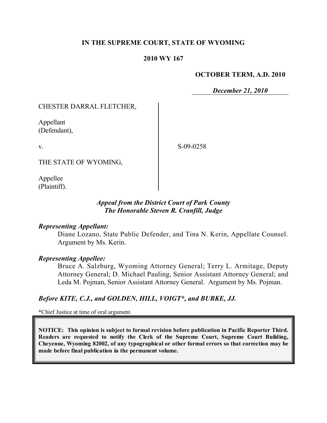## **IN THE SUPREME COURT, STATE OF WYOMING**

### **2010 WY 167**

#### **OCTOBER TERM, A.D. 2010**

*December 21, 2010*

### CHESTER DARRAL FLETCHER,

Appellant (Defendant),

v.

S-09-0258

THE STATE OF WYOMING,

Appellee (Plaintiff).

### *Appeal from the District Court of Park County The Honorable Steven R. Cranfill, Judge*

#### *Representing Appellant:*

Diane Lozano, State Public Defender, and Tina N. Kerin, Appellate Counsel. Argument by Ms. Kerin.

#### *Representing Appellee:*

Bruce A. Salzburg, Wyoming Attorney General; Terry L. Armitage, Deputy Attorney General; D. Michael Pauling, Senior Assistant Attorney General; and Leda M. Pojman, Senior Assistant Attorney General. Argument by Ms. Pojman.

## *Before KITE, C.J., and GOLDEN, HILL, VOIGT\*, and BURKE, JJ.*

\*Chief Justice at time of oral argument.

**NOTICE: This opinion is subject to formal revision before publication in Pacific Reporter Third. Readers are requested to notify the Clerk of the Supreme Court, Supreme Court Building, Cheyenne, Wyoming 82002, of any typographical or other formal errors so that correction may be made before final publication in the permanent volume.**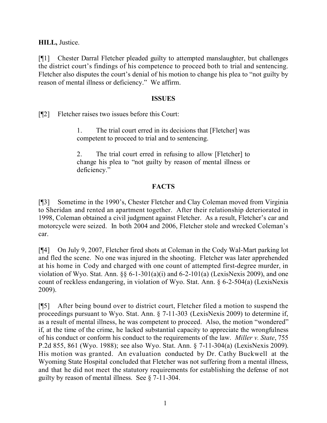**HILL,** Justice.

[¶1] Chester Darral Fletcher pleaded guilty to attempted manslaughter, but challenges the district court's findings of his competence to proceed both to trial and sentencing. Fletcher also disputes the court's denial of his motion to change his plea to "not guilty by reason of mental illness or deficiency." We affirm.

### **ISSUES**

[¶2] Fletcher raises two issues before this Court:

1. The trial court erred in its decisions that [Fletcher] was competent to proceed to trial and to sentencing.

2. The trial court erred in refusing to allow [Fletcher] to change his plea to "not guilty by reason of mental illness or deficiency."

# **FACTS**

[¶3] Sometime in the 1990's, Chester Fletcher and Clay Coleman moved from Virginia to Sheridan and rented an apartment together. After their relationship deteriorated in 1998, Coleman obtained a civil judgment against Fletcher. As a result, Fletcher's car and motorcycle were seized. In both 2004 and 2006, Fletcher stole and wrecked Coleman's car.

[¶4] On July 9, 2007, Fletcher fired shots at Coleman in the Cody Wal-Mart parking lot and fled the scene. No one was injured in the shooting. Fletcher was later apprehended at his home in Cody and charged with one count of attempted first-degree murder, in violation of Wyo. Stat. Ann.  $\S\S 6$ -1-301(a)(i) and 6-2-101(a) (LexisNexis 2009), and one count of reckless endangering, in violation of Wyo. Stat. Ann. § 6-2-504(a) (LexisNexis 2009).

[¶5] After being bound over to district court, Fletcher filed a motion to suspend the proceedings pursuant to Wyo. Stat. Ann. § 7-11-303 (LexisNexis 2009) to determine if, as a result of mental illness, he was competent to proceed. Also, the motion "wondered" if, at the time of the crime, he lacked substantial capacity to appreciate the wrongfulness of his conduct or conform his conduct to the requirements of the law. *Miller v. State*, 755 P.2d 855, 861 (Wyo. 1988); see also Wyo. Stat. Ann. § 7-11-304(a) (LexisNexis 2009). His motion was granted. An evaluation conducted by Dr. Cathy Buckwell at the Wyoming State Hospital concluded that Fletcher was not suffering from a mental illness, and that he did not meet the statutory requirements for establishing the defense of not guilty by reason of mental illness. See § 7-11-304.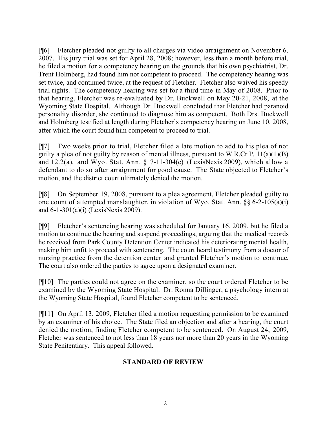[¶6] Fletcher pleaded not guilty to all charges via video arraignment on November 6, 2007. His jury trial was set for April 28, 2008; however, less than a month before trial, he filed a motion for a competency hearing on the grounds that his own psychiatrist, Dr. Trent Holmberg, had found him not competent to proceed. The competency hearing was set twice, and continued twice, at the request of Fletcher. Fletcher also waived his speedy trial rights. The competency hearing was set for a third time in May of 2008. Prior to that hearing, Fletcher was re-evaluated by Dr. Buckwell on May 20-21, 2008, at the Wyoming State Hospital. Although Dr. Buckwell concluded that Fletcher had paranoid personality disorder, she continued to diagnose him as competent. Both Drs. Buckwell and Holmberg testified at length during Fletcher's competency hearing on June 10, 2008, after which the court found him competent to proceed to trial.

[¶7] Two weeks prior to trial, Fletcher filed a late motion to add to his plea of not guilty a plea of not guilty by reason of mental illness, pursuant to W.R.Cr.P. 11(a)(1)(B) and  $12.2(a)$ , and Wyo. Stat. Ann. § 7-11-304(c) (LexisNexis 2009), which allow a defendant to do so after arraignment for good cause. The State objected to Fletcher's motion, and the district court ultimately denied the motion.

[¶8] On September 19, 2008, pursuant to a plea agreement, Fletcher pleaded guilty to one count of attempted manslaughter, in violation of Wyo. Stat. Ann. §§ 6-2-105(a)(i) and 6-1-301(a)(i) (LexisNexis 2009).

[¶9] Fletcher's sentencing hearing was scheduled for January 16, 2009, but he filed a motion to continue the hearing and suspend proceedings, arguing that the medical records he received from Park County Detention Center indicated his deteriorating mental health, making him unfit to proceed with sentencing. The court heard testimony from a doctor of nursing practice from the detention center and granted Fletcher's motion to continue. The court also ordered the parties to agree upon a designated examiner.

[¶10] The parties could not agree on the examiner, so the court ordered Fletcher to be examined by the Wyoming State Hospital. Dr. Ronna Dillinger, a psychology intern at the Wyoming State Hospital, found Fletcher competent to be sentenced.

[¶11] On April 13, 2009, Fletcher filed a motion requesting permission to be examined by an examiner of his choice. The State filed an objection and after a hearing, the court denied the motion, finding Fletcher competent to be sentenced. On August 24, 2009, Fletcher was sentenced to not less than 18 years nor more than 20 years in the Wyoming State Penitentiary. This appeal followed.

## **STANDARD OF REVIEW**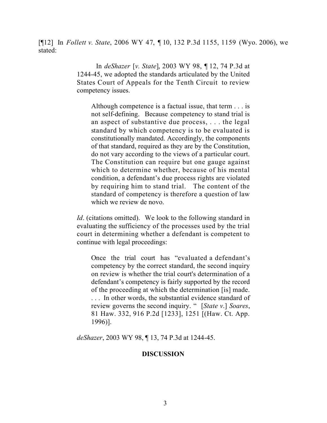[¶12] In *Follett v. State*, 2006 WY 47, ¶ 10, 132 P.3d 1155, 1159 (Wyo. 2006), we stated:

> In *deShazer* [*v. State*], 2003 WY 98, ¶ 12, 74 P.3d at 1244-45, we adopted the standards articulated by the United States Court of Appeals for the Tenth Circuit to review competency issues.

Although competence is a factual issue, that term . . . is not self-defining. Because competency to stand trial is an aspect of substantive due process, . . . the legal standard by which competency is to be evaluated is constitutionally mandated. Accordingly, the components of that standard, required as they are by the Constitution, do not vary according to the views of a particular court. The Constitution can require but one gauge against which to determine whether, because of his mental condition, a defendant's due process rights are violated by requiring him to stand trial. The content of the standard of competency is therefore a question of law which we review de novo.

*Id.* (citations omitted). We look to the following standard in evaluating the sufficiency of the processes used by the trial court in determining whether a defendant is competent to continue with legal proceedings:

Once the trial court has "evaluated a defendant's competency by the correct standard, the second inquiry on review is whether the trial court's determination of a defendant's competency is fairly supported by the record of the proceeding at which the determination [is] made. . . . In other words, the substantial evidence standard of review governs the second inquiry. " [*State v*.] *Soares*, 81 Haw. 332, 916 P.2d [1233], 1251 [(Haw. Ct. App. 1996)].

*deShazer*, 2003 WY 98, ¶ 13, 74 P.3d at 1244-45.

## **DISCUSSION**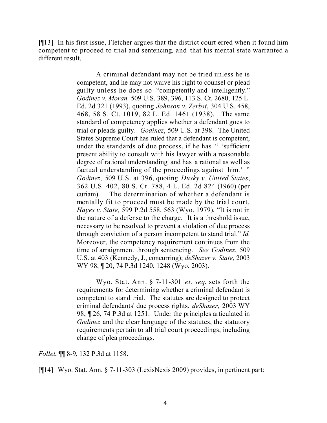**[**¶13] In his first issue, Fletcher argues that the district court erred when it found him competent to proceed to trial and sentencing, and that his mental state warranted a different result.

> A criminal defendant may not be tried unless he is competent, and he may not waive his right to counsel or plead guilty unless he does so "competently and intelligently." *Godinez v. Moran,* 509 U.S. 389, 396, 113 S. Ct. 2680, 125 L. Ed. 2d 321 (1993), quoting *Johnson v. Zerbst*, 304 U.S. 458, 468, 58 S. Ct. 1019, 82 L. Ed. 1461 (1938). The same standard of competency applies whether a defendant goes to trial or pleads guilty. *Godinez*, 509 U.S. at 398. The United States Supreme Court has ruled that a defendant is competent, under the standards of due process, if he has " 'sufficient present ability to consult with his lawyer with a reasonable degree of rational understanding' and has 'a rational as well as factual understanding of the proceedings against him.' " *Godinez*, 509 U.S. at 396, quoting *Dusky v. United States*, 362 U.S. 402, 80 S. Ct. 788, 4 L. Ed. 2d 824 (1960) (per curiam). The determination of whether a defendant is mentally fit to proceed must be made by the trial court. *Hayes v. State,* 599 P.2d 558, 563 (Wyo. 1979). "It is not in the nature of a defense to the charge. It is a threshold issue, necessary to be resolved to prevent a violation of due process through conviction of a person incompetent to stand trial." *Id.* Moreover, the competency requirement continues from the time of arraignment through sentencing. *See Godinez*, 509 U.S. at 403 (Kennedy, J., concurring); *deShazer v. State*, 2003 WY 98, 120, 74 P.3d 1240, 1248 (Wyo. 2003).

> Wyo. Stat. Ann. § 7-11-301 *et. seq*. sets forth the requirements for determining whether a criminal defendant is competent to stand trial. The statutes are designed to protect criminal defendants' due process rights. *deShazer,* 2003 WY 98, ¶ 26, 74 P.3d at 1251. Under the principles articulated in *Godinez* and the clear language of the statutes, the statutory requirements pertain to all trial court proceedings, including change of plea proceedings.

*Follet*, ¶¶ 8-9, 132 P.3d at 1158.

[¶14] Wyo. Stat. Ann. § 7-11-303 (LexisNexis 2009) provides, in pertinent part: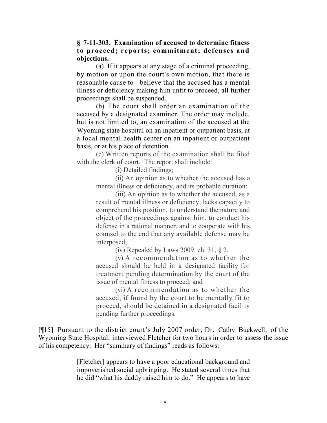### **§ 7-11-303. Examination of accused to determine fitness to proceed; reports; commitment; defenses and objections.**

(a) If it appears at any stage of a criminal proceeding, by motion or upon the court's own motion, that there is reasonable cause to believe that the accused has a mental illness or deficiency making him unfit to proceed, all further proceedings shall be suspended.

(b) The court shall order an examination of the accused by a designated examiner. The order may include, but is not limited to, an examination of the accused at the Wyoming state hospital on an inpatient or outpatient basis, at a local mental health center on an inpatient or outpatient basis, or at his place of detention.

(c) Written reports of the examination shall be filed with the clerk of court. The report shall include:

(i) Detailed findings;

(ii) An opinion as to whether the accused has a mental illness or deficiency, and its probable duration;

(iii) An opinion as to whether the accused, as a result of mental illness or deficiency, lacks capacity to comprehend his position, to understand the nature and object of the proceedings against him, to conduct his defense in a rational manner, and to cooperate with his counsel to the end that any available defense may be interposed;

(iv) Repealed by Laws 2009, ch. 31, § 2.

(v) A recommendation as to whether the accused should be held in a designated facility for treatment pending determination by the court of the issue of mental fitness to proceed; and

(vi) A recommendation as to whether the accused, if found by the court to be mentally fit to proceed, should be detained in a designated facility pending further proceedings.

[¶15] Pursuant to the district court's July 2007 order, Dr. Cathy Buckwell, of the Wyoming State Hospital, interviewed Fletcher for two hours in order to assess the issue of his competency. Her "summary of findings" reads as follows:

> [Fletcher] appears to have a poor educational background and impoverished social upbringing. He stated several times that he did "what his daddy raised him to do." He appears to have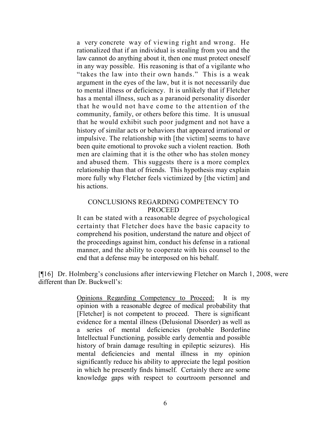a very concrete way of viewing right and wrong. He rationalized that if an individual is stealing from you and the law cannot do anything about it, then one must protect oneself in any way possible. His reasoning is that of a vigilante who "takes the law into their own hands." This is a weak argument in the eyes of the law, but it is not necessarily due to mental illness or deficiency. It is unlikely that if Fletcher has a mental illness, such as a paranoid personality disorder that he would not have come to the attention of the community, family, or others before this time. It is unusual that he would exhibit such poor judgment and not have a history of similar acts or behaviors that appeared irrational or impulsive. The relationship with [the victim] seems to have been quite emotional to provoke such a violent reaction. Both men are claiming that it is the other who has stolen money and abused them. This suggests there is a more complex relationship than that of friends. This hypothesis may explain more fully why Fletcher feels victimized by [the victim] and his actions.

#### CONCLUSIONS REGARDING COMPETENCY TO PROCEED

It can be stated with a reasonable degree of psychological certainty that Fletcher does have the basic capacity to comprehend his position, understand the nature and object of the proceedings against him, conduct his defense in a rational manner, and the ability to cooperate with his counsel to the end that a defense may be interposed on his behalf.

[¶16] Dr. Holmberg's conclusions after interviewing Fletcher on March 1, 2008, were different than Dr. Buckwell's:

> Opinions Regarding Competency to Proceed: It is my opinion with a reasonable degree of medical probability that [Fletcher] is not competent to proceed. There is significant evidence for a mental illness (Delusional Disorder) as well as a series of mental deficiencies (probable Borderline Intellectual Functioning, possible early dementia and possible history of brain damage resulting in epileptic seizures). His mental deficiencies and mental illness in my opinion significantly reduce his ability to appreciate the legal position in which he presently finds himself. Certainly there are some knowledge gaps with respect to courtroom personnel and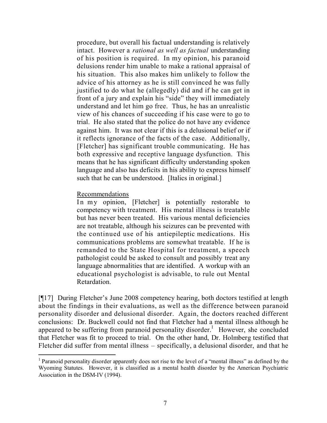procedure, but overall his factual understanding is relatively intact. However a *rational as well as factual* understanding of his position is required. In my opinion, his paranoid delusions render him unable to make a rational appraisal of his situation. This also makes him unlikely to follow the advice of his attorney as he is still convinced he was fully justified to do what he (allegedly) did and if he can get in front of a jury and explain his "side" they will immediately understand and let him go free. Thus, he has an unrealistic view of his chances of succeeding if his case were to go to trial. He also stated that the police do not have any evidence against him. It was not clear if this is a delusional belief or if it reflects ignorance of the facts of the case. Additionally, [Fletcher] has significant trouble communicating. He has both expressive and receptive language dysfunction. This means that he has significant difficulty understanding spoken language and also has deficits in his ability to express himself such that he can be understood. [Italics in original.]

#### Recommendations

 $\overline{a}$ 

In my opinion, [Fletcher] is potentially restorable to competency with treatment. His mental illness is treatable but has never been treated. His various mental deficiencies are not treatable, although his seizures can be prevented with the continued use of his antiepileptic medications. His communications problems are somewhat treatable. If he is remanded to the State Hospital for treatment, a speech pathologist could be asked to consult and possibly treat any language abnormalities that are identified. A workup with an educational psychologist is advisable, to rule out Mental Retardation.

[¶17] During Fletcher's June 2008 competency hearing, both doctors testified at length about the findings in their evaluations, as well as the difference between paranoid personality disorder and delusional disorder. Again, the doctors reached different conclusions: Dr. Buckwell could not find that Fletcher had a mental illness although he appeared to be suffering from paranoid personality disorder.<sup>1</sup> However, she concluded that Fletcher was fit to proceed to trial. On the other hand, Dr. Holmberg testified that Fletcher did suffer from mental illness – specifically, a delusional disorder, and that he

<sup>&</sup>lt;sup>1</sup> Paranoid personality disorder apparently does not rise to the level of a "mental illness" as defined by the Wyoming Statutes. However, it is classified as a mental health disorder by the American Psychiatric Association in the DSM-IV (1994).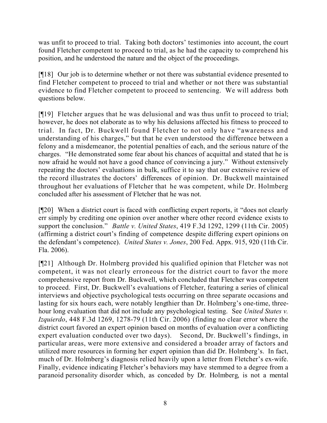was unfit to proceed to trial. Taking both doctors' testimonies into account, the court found Fletcher competent to proceed to trial, as he had the capacity to comprehend his position, and he understood the nature and the object of the proceedings.

[¶18] Our job is to determine whether or not there was substantial evidence presented to find Fletcher competent to proceed to trial and whether or not there was substantial evidence to find Fletcher competent to proceed to sentencing. We will address both questions below.

[¶19] Fletcher argues that he was delusional and was thus unfit to proceed to trial; however, he does not elaborate as to why his delusions affected his fitness to proceed to trial. In fact, Dr. Buckwell found Fletcher to not only have "awareness and understanding of his charges," but that he even understood the difference between a felony and a misdemeanor, the potential penalties of each, and the serious nature of the charges. "He demonstrated some fear about his chances of acquittal and stated that he is now afraid he would not have a good chance of convincing a jury." Without extensively repeating the doctors' evaluations in bulk, suffice it to say that our extensive review of the record illustrates the doctors' differences of opinion. Dr. Buckwell maintained throughout her evaluations of Fletcher that he was competent, while Dr. Holmberg concluded after his assessment of Fletcher that he was not.

[¶20] When a district court is faced with conflicting expert reports, it "does not clearly err simply by crediting one opinion over another where other record evidence exists to support the conclusion." *Battle v. United States*, 419 F.3d 1292, 1299 (11th Cir. 2005) (affirming a district court's finding of competence despite differing expert opinions on the defendant's competence). *United States v. Jones*, 200 Fed. Appx. 915, 920 (11th Cir. Fla. 2006).

[¶21] Although Dr. Holmberg provided his qualified opinion that Fletcher was not competent, it was not clearly erroneous for the district court to favor the more comprehensive report from Dr. Buckwell, which concluded that Fletcher was competent to proceed. First, Dr. Buckwell's evaluations of Fletcher, featuring a series of clinical interviews and objective psychological tests occurring on three separate occasions and lasting for six hours each, were notably lengthier than Dr. Holmberg's one-time, threehour long evaluation that did not include any psychological testing. See *United States v. Izquierdo*, 448 F.3d 1269, 1278-79 (11th Cir. 2006) (finding no clear error where the district court favored an expert opinion based on months of evaluation over a conflicting expert evaluation conducted over two days). Second, Dr. Buckwell's findings, in particular areas, were more extensive and considered a broader array of factors and utilized more resources in forming her expert opinion than did Dr. Holmberg's. In fact, much of Dr. Holmberg's diagnosis relied heavily upon a letter from Fletcher's ex-wife. Finally, evidence indicating Fletcher's behaviors may have stemmed to a degree from a paranoid personality disorder which, as conceded by Dr. Holmberg, is not a mental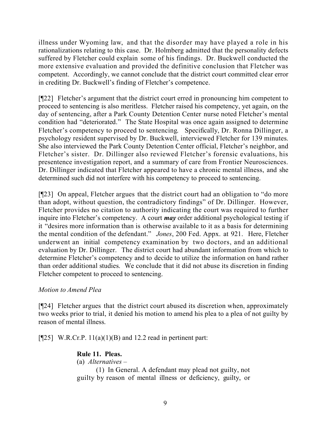illness under Wyoming law, and that the disorder may have played a role in his rationalizations relating to this case. Dr. Holmberg admitted that the personality defects suffered by Fletcher could explain some of his findings. Dr. Buckwell conducted the more extensive evaluation and provided the definitive conclusion that Fletcher was competent. Accordingly, we cannot conclude that the district court committed clear error in crediting Dr. Buckwell's finding of Fletcher's competence.

[¶22] Fletcher's argument that the district court erred in pronouncing him competent to proceed to sentencing is also meritless. Fletcher raised his competency, yet again, on the day of sentencing, after a Park County Detention Center nurse noted Fletcher's mental condition had "deteriorated." The State Hospital was once again assigned to determine Fletcher's competency to proceed to sentencing. Specifically, Dr. Ronna Dillinger, a psychology resident supervised by Dr. Buckwell, interviewed Fletcher for 139 minutes. She also interviewed the Park County Detention Center official, Fletcher's neighbor, and Fletcher's sister. Dr. Dillinger also reviewed Fletcher's forensic evaluations, his presentence investigation report, and a summary of care from Frontier Neurosciences. Dr. Dillinger indicated that Fletcher appeared to have a chronic mental illness, and she determined such did not interfere with his competency to proceed to sentencing.

[¶23] On appeal, Fletcher argues that the district court had an obligation to "do more than adopt, without question, the contradictory findings" of Dr. Dillinger. However, Fletcher provides no citation to authority indicating the court was required to further inquire into Fletcher's competency. A court *may* order additional psychological testing if it "desires more information than is otherwise available to it as a basis for determining the mental condition of the defendant." *Jones*, 200 Fed. Appx. at 921. Here, Fletcher underwent an initial competency examination by two doctors, and an additional evaluation by Dr. Dillinger. The district court had abundant information from which to determine Fletcher's competency and to decide to utilize the information on hand rather than order additional studies. We conclude that it did not abuse its discretion in finding Fletcher competent to proceed to sentencing.

# *Motion to Amend Plea*

[¶24] Fletcher argues that the district court abused its discretion when, approximately two weeks prior to trial, it denied his motion to amend his plea to a plea of not guilty by reason of mental illness.

 $[$ [[25] W.R.Cr.P. 11(a)(1)(B) and 12.2 read in pertinent part:

# **Rule 11. Pleas.**

(a) *Alternatives* –

(1) In General. A defendant may plead not guilty, not guilty by reason of mental illness or deficiency, guilty, or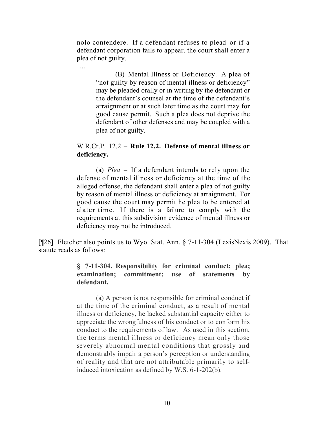nolo contendere. If a defendant refuses to plead or if a defendant corporation fails to appear, the court shall enter a plea of not guilty.

….

(B) Mental Illness or Deficiency. A plea of "not guilty by reason of mental illness or deficiency" may be pleaded orally or in writing by the defendant or the defendant's counsel at the time of the defendant's arraignment or at such later time as the court may for good cause permit. Such a plea does not deprive the defendant of other defenses and may be coupled with a plea of not guilty.

### W.R.Cr.P. 12.2 – **Rule 12.2. Defense of mental illness or deficiency.**

(a) *Plea* – If a defendant intends to rely upon the defense of mental illness or deficiency at the time of the alleged offense, the defendant shall enter a plea of not guilty by reason of mental illness or deficiency at arraignment. For good cause the court may permit he plea to be entered at alater time. If there is a failure to comply with the requirements at this subdivision evidence of mental illness or deficiency may not be introduced.

[¶26] Fletcher also points us to Wyo. Stat. Ann. § 7-11-304 (LexisNexis 2009). That statute reads as follows:

## **§ 7-11-304. Responsibility for criminal conduct; plea; examination; commitment; use of statements by defendant.**

(a) A person is not responsible for criminal conduct if at the time of the criminal conduct, as a result of mental illness or deficiency, he lacked substantial capacity either to appreciate the wrongfulness of his conduct or to conform his conduct to the requirements of law. As used in this section, the terms mental illness or deficiency mean only those severely abnormal mental conditions that grossly and demonstrably impair a person's perception or understanding of reality and that are not attributable primarily to selfinduced intoxication as defined by W.S. 6-1-202(b).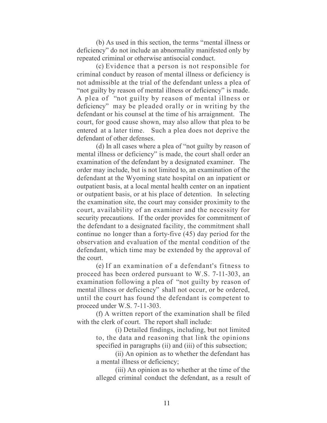(b) As used in this section, the terms "mental illness or deficiency" do not include an abnormality manifested only by repeated criminal or otherwise antisocial conduct.

(c) Evidence that a person is not responsible for criminal conduct by reason of mental illness or deficiency is not admissible at the trial of the defendant unless a plea of "not guilty by reason of mental illness or deficiency" is made. A plea of "not guilty by reason of mental illness or deficiency" may be pleaded orally or in writing by the defendant or his counsel at the time of his arraignment. The court, for good cause shown, may also allow that plea to be entered at a later time. Such a plea does not deprive the defendant of other defenses.

(d) In all cases where a plea of "not guilty by reason of mental illness or deficiency" is made, the court shall order an examination of the defendant by a designated examiner. The order may include, but is not limited to, an examination of the defendant at the Wyoming state hospital on an inpatient or outpatient basis, at a local mental health center on an inpatient or outpatient basis, or at his place of detention. In selecting the examination site, the court may consider proximity to the court, availability of an examiner and the necessity for security precautions. If the order provides for commitment of the defendant to a designated facility, the commitment shall continue no longer than a forty-five (45) day period for the observation and evaluation of the mental condition of the defendant, which time may be extended by the approval of the court.

(e) If an examination of a defendant's fitness to proceed has been ordered pursuant to W.S. 7-11-303, an examination following a plea of "not guilty by reason of mental illness or deficiency" shall not occur, or be ordered, until the court has found the defendant is competent to proceed under W.S. 7-11-303.

(f) A written report of the examination shall be filed with the clerk of court. The report shall include:

> (i) Detailed findings, including, but not limited to, the data and reasoning that link the opinions specified in paragraphs (ii) and (iii) of this subsection;

> (ii) An opinion as to whether the defendant has a mental illness or deficiency;

> (iii) An opinion as to whether at the time of the alleged criminal conduct the defendant, as a result of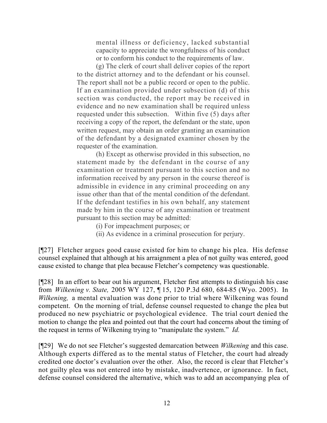mental illness or deficiency, lacked substantial capacity to appreciate the wrongfulness of his conduct or to conform his conduct to the requirements of law.

(g) The clerk of court shall deliver copies of the report to the district attorney and to the defendant or his counsel. The report shall not be a public record or open to the public. If an examination provided under subsection (d) of this section was conducted, the report may be received in evidence and no new examination shall be required unless requested under this subsection. Within five (5) days after receiving a copy of the report, the defendant or the state, upon written request, may obtain an order granting an examination of the defendant by a designated examiner chosen by the requester of the examination.

(h) Except as otherwise provided in this subsection, no statement made by the defendant in the course of any examination or treatment pursuant to this section and no information received by any person in the course thereof is admissible in evidence in any criminal proceeding on any issue other than that of the mental condition of the defendant. If the defendant testifies in his own behalf, any statement made by him in the course of any examination or treatment pursuant to this section may be admitted:

- (i) For impeachment purposes; or
- (ii) As evidence in a criminal prosecution for perjury.

[¶27] Fletcher argues good cause existed for him to change his plea. His defense counsel explained that although at his arraignment a plea of not guilty was entered, good cause existed to change that plea because Fletcher's competency was questionable.

[¶28] In an effort to bear out his argument, Fletcher first attempts to distinguish his case from *Wilkening v. State,* 2005 WY 127, ¶ 15, 120 P.3d 680, 684-85 (Wyo. 2005). In *Wilkening,* a mental evaluation was done prior to trial where Wilkening was found competent. On the morning of trial, defense counsel requested to change the plea but produced no new psychiatric or psychological evidence. The trial court denied the motion to change the plea and pointed out that the court had concerns about the timing of the request in terms of Wilkening trying to "manipulate the system." *Id.*

[¶29] We do not see Fletcher's suggested demarcation between *Wilkening* and this case. Although experts differed as to the mental status of Fletcher, the court had already credited one doctor's evaluation over the other. Also, the record is clear that Fletcher's not guilty plea was not entered into by mistake, inadvertence, or ignorance. In fact, defense counsel considered the alternative, which was to add an accompanying plea of